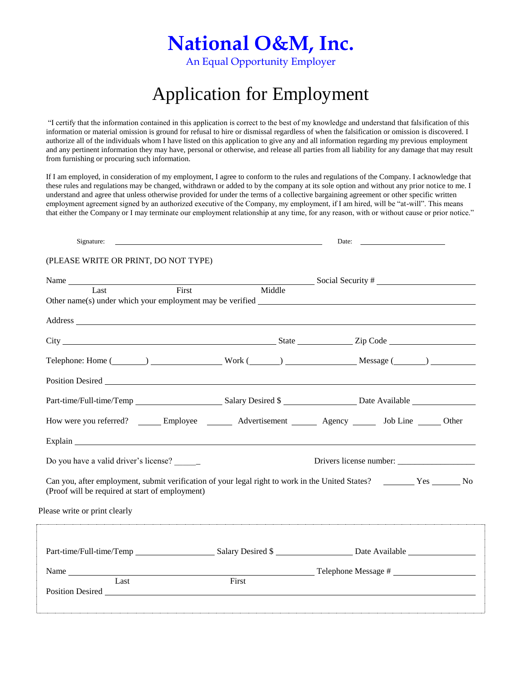# **National O&M, Inc.**

An Equal Opportunity Employer

## Application for Employment

"I certify that the information contained in this application is correct to the best of my knowledge and understand that falsification of this information or material omission is ground for refusal to hire or dismissal regardless of when the falsification or omission is discovered. I authorize all of the individuals whom I have listed on this application to give any and all information regarding my previous employment and any pertinent information they may have, personal or otherwise, and release all parties from all liability for any damage that may result from furnishing or procuring such information.

If I am employed, in consideration of my employment, I agree to conform to the rules and regulations of the Company. I acknowledge that these rules and regulations may be changed, withdrawn or added to by the company at its sole option and without any prior notice to me. I understand and agree that unless otherwise provided for under the terms of a collective bargaining agreement or other specific written employment agreement signed by an authorized executive of the Company, my employment, if I am hired, will be "at-will". This means that either the Company or I may terminate our employment relationship at any time, for any reason, with or without cause or prior notice."

| Signature:                                                                                                                                                                                                                     | Date:  |  |  |                         |  |
|--------------------------------------------------------------------------------------------------------------------------------------------------------------------------------------------------------------------------------|--------|--|--|-------------------------|--|
| (PLEASE WRITE OR PRINT, DO NOT TYPE)                                                                                                                                                                                           |        |  |  |                         |  |
| Name Social Security #                                                                                                                                                                                                         |        |  |  |                         |  |
| First<br>Last                                                                                                                                                                                                                  | Middle |  |  |                         |  |
|                                                                                                                                                                                                                                |        |  |  |                         |  |
|                                                                                                                                                                                                                                |        |  |  |                         |  |
|                                                                                                                                                                                                                                |        |  |  |                         |  |
| Telephone: Home (Changelephone: Home (Changelephone: Home (Changelephone: Home (Changelephone: Home (Changelephone: Work (Changelephone: Message (Changelephone: Home (Changelephone: Message (Changelephone: Message (Changel |        |  |  |                         |  |
|                                                                                                                                                                                                                                |        |  |  |                         |  |
|                                                                                                                                                                                                                                |        |  |  |                         |  |
|                                                                                                                                                                                                                                |        |  |  |                         |  |
| Explain explainter and the contract of the contract of the contract of the contract of the contract of the contract of the contract of the contract of the contract of the contract of the contract of the contract of the con |        |  |  |                         |  |
| Do you have a valid driver's license? ______                                                                                                                                                                                   |        |  |  | Drivers license number: |  |
| Can you, after employment, submit verification of your legal right to work in the United States? No No<br>(Proof will be required at start of employment)                                                                      |        |  |  |                         |  |
| Please write or print clearly                                                                                                                                                                                                  |        |  |  |                         |  |
|                                                                                                                                                                                                                                |        |  |  |                         |  |
| Name                                                                                                                                                                                                                           |        |  |  |                         |  |
| Last                                                                                                                                                                                                                           | First  |  |  |                         |  |
|                                                                                                                                                                                                                                |        |  |  |                         |  |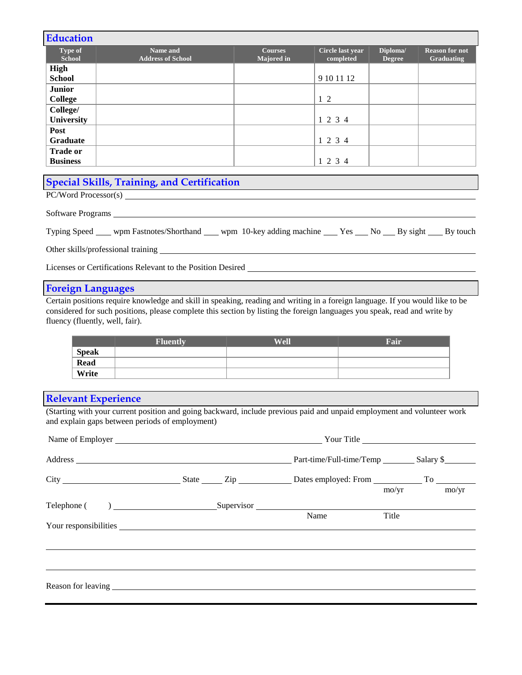| <b>Education</b>                |                                      |                                     |                               |                           |                                            |
|---------------------------------|--------------------------------------|-------------------------------------|-------------------------------|---------------------------|--------------------------------------------|
| <b>Type of</b><br><b>School</b> | Name and<br><b>Address of School</b> | <b>Courses</b><br><b>Majored</b> in | Circle last year<br>completed | Diploma/<br><b>Degree</b> | <b>Reason for not</b><br><b>Graduating</b> |
| <b>High</b>                     |                                      |                                     |                               |                           |                                            |
| <b>School</b>                   |                                      |                                     | 9 10 11 12                    |                           |                                            |
| <b>Junior</b>                   |                                      |                                     |                               |                           |                                            |
| <b>College</b>                  |                                      |                                     | $1\,2$                        |                           |                                            |
| College/                        |                                      |                                     |                               |                           |                                            |
| <b>University</b>               |                                      |                                     | 1 2 3 4                       |                           |                                            |
| Post                            |                                      |                                     |                               |                           |                                            |
| <b>Graduate</b>                 |                                      |                                     | 1 2 3 4                       |                           |                                            |
| <b>Trade or</b>                 |                                      |                                     |                               |                           |                                            |
| <b>Business</b>                 |                                      |                                     | 1 2 3 4                       |                           |                                            |

## **Special Skills, Training, and Certification**

PC/Word Processor(s)

Software Programs

Typing Speed wpm Fastnotes/Shorthand wpm 10-key adding machine Yes No By sight By touch

Other skills/professional training

Licenses or Certifications Relevant to the Position Desired

#### **Foreign Languages**

Certain positions require knowledge and skill in speaking, reading and writing in a foreign language. If you would like to be considered for such positions, please complete this section by listing the foreign languages you speak, read and write by fluency (fluently, well, fair).

|              | <b>Fluently</b> | Well | Foir |
|--------------|-----------------|------|------|
| <b>Speak</b> |                 |      |      |
| <b>Read</b>  |                 |      |      |
| Write        |                 |      |      |

### **Relevant Experience**

(Starting with your current position and going backward, include previous paid and unpaid employment and volunteer work and explain gaps between periods of employment)

|  |      |                | Your Title |
|--|------|----------------|------------|
|  |      |                |            |
|  |      | $\text{mo/yr}$ | mo/yr      |
|  | Name | Title          |            |
|  |      |                |            |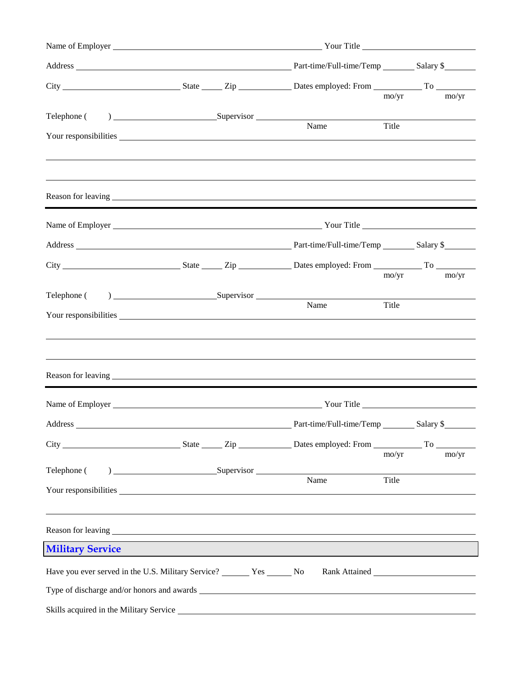|                                                                          |  | Part-time/Full-time/Temp __________ Salary \$                                                                                                                                                                                                                                                                                                 |                |  |                       |
|--------------------------------------------------------------------------|--|-----------------------------------------------------------------------------------------------------------------------------------------------------------------------------------------------------------------------------------------------------------------------------------------------------------------------------------------------|----------------|--|-----------------------|
|                                                                          |  |                                                                                                                                                                                                                                                                                                                                               | mo/yr          |  | $\text{mo}/\text{yr}$ |
|                                                                          |  |                                                                                                                                                                                                                                                                                                                                               |                |  |                       |
|                                                                          |  | Name                                                                                                                                                                                                                                                                                                                                          | Title          |  |                       |
|                                                                          |  |                                                                                                                                                                                                                                                                                                                                               |                |  |                       |
|                                                                          |  |                                                                                                                                                                                                                                                                                                                                               |                |  |                       |
|                                                                          |  |                                                                                                                                                                                                                                                                                                                                               |                |  |                       |
|                                                                          |  |                                                                                                                                                                                                                                                                                                                                               | $\text{mo/yr}$ |  | $\text{mo/yr}$        |
| Telephone (                                                              |  | $\sum_{n=1}^{\infty}$ $\sum_{n=1}^{\infty}$ $\sum_{n=1}^{\infty}$ $\sum_{n=1}^{\infty}$ $\sum_{n=1}^{\infty}$ $\sum_{n=1}^{\infty}$ $\sum_{n=1}^{\infty}$ $\sum_{n=1}^{\infty}$ $\sum_{n=1}^{\infty}$ $\sum_{n=1}^{\infty}$ $\sum_{n=1}^{\infty}$ $\sum_{n=1}^{\infty}$ $\sum_{n=1}^{\infty}$ $\sum_{n=1}^{\infty}$ $\sum_{n=1}^{\in$<br>Name | Title          |  |                       |
|                                                                          |  | ,我们也不会有什么。""我们的人,我们也不会有什么?""我们的人,我们也不会有什么?""我们的人,我们也不会有什么?""我们的人,我们也不会有什么?""我们的人                                                                                                                                                                                                                                                              |                |  |                       |
|                                                                          |  |                                                                                                                                                                                                                                                                                                                                               |                |  |                       |
|                                                                          |  |                                                                                                                                                                                                                                                                                                                                               |                |  |                       |
|                                                                          |  |                                                                                                                                                                                                                                                                                                                                               |                |  |                       |
|                                                                          |  |                                                                                                                                                                                                                                                                                                                                               | $\text{mo/yr}$ |  | $\text{mo}/\text{yr}$ |
| Telephone (                                                              |  | Name                                                                                                                                                                                                                                                                                                                                          | Title          |  |                       |
|                                                                          |  |                                                                                                                                                                                                                                                                                                                                               |                |  |                       |
|                                                                          |  |                                                                                                                                                                                                                                                                                                                                               |                |  |                       |
| <b>Military Service</b>                                                  |  |                                                                                                                                                                                                                                                                                                                                               |                |  |                       |
| Have you ever served in the U.S. Military Service? _______ Yes ______ No |  |                                                                                                                                                                                                                                                                                                                                               |                |  |                       |
|                                                                          |  |                                                                                                                                                                                                                                                                                                                                               |                |  |                       |
|                                                                          |  |                                                                                                                                                                                                                                                                                                                                               |                |  |                       |